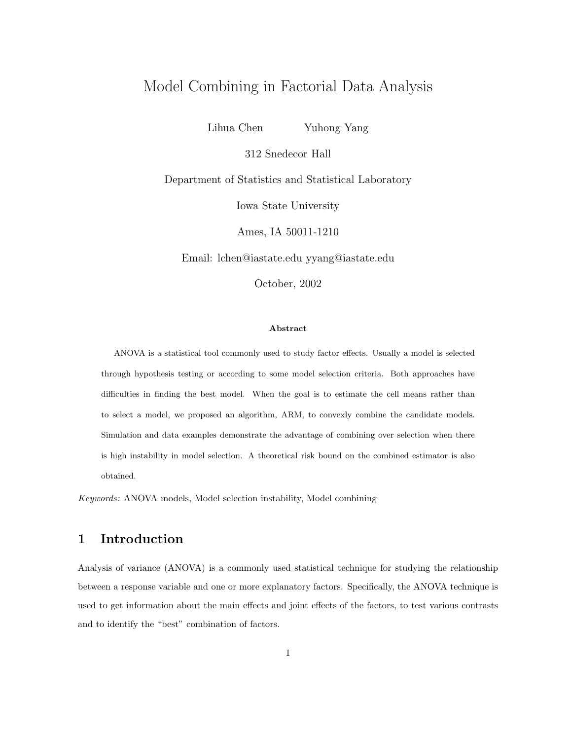# Model Combining in Factorial Data Analysis

Lihua Chen Yuhong Yang

312 Snedecor Hall

Department of Statistics and Statistical Laboratory

Iowa State University

Ames, IA 50011-1210

Email: lchen@iastate.edu yyang@iastate.edu

October, 2002

#### Abstract

ANOVA is a statistical tool commonly used to study factor effects. Usually a model is selected through hypothesis testing or according to some model selection criteria. Both approaches have difficulties in finding the best model. When the goal is to estimate the cell means rather than to select a model, we proposed an algorithm, ARM, to convexly combine the candidate models. Simulation and data examples demonstrate the advantage of combining over selection when there is high instability in model selection. A theoretical risk bound on the combined estimator is also obtained.

Keywords: ANOVA models, Model selection instability, Model combining

# 1 Introduction

Analysis of variance (ANOVA) is a commonly used statistical technique for studying the relationship between a response variable and one or more explanatory factors. Specifically, the ANOVA technique is used to get information about the main effects and joint effects of the factors, to test various contrasts and to identify the "best" combination of factors.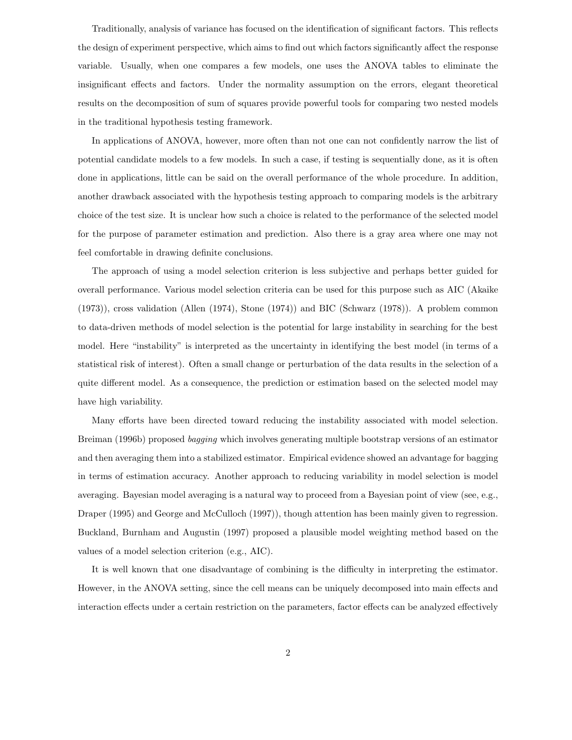Traditionally, analysis of variance has focused on the identification of significant factors. This reflects the design of experiment perspective, which aims to find out which factors significantly affect the response variable. Usually, when one compares a few models, one uses the ANOVA tables to eliminate the insignificant effects and factors. Under the normality assumption on the errors, elegant theoretical results on the decomposition of sum of squares provide powerful tools for comparing two nested models in the traditional hypothesis testing framework.

In applications of ANOVA, however, more often than not one can not confidently narrow the list of potential candidate models to a few models. In such a case, if testing is sequentially done, as it is often done in applications, little can be said on the overall performance of the whole procedure. In addition, another drawback associated with the hypothesis testing approach to comparing models is the arbitrary choice of the test size. It is unclear how such a choice is related to the performance of the selected model for the purpose of parameter estimation and prediction. Also there is a gray area where one may not feel comfortable in drawing definite conclusions.

The approach of using a model selection criterion is less subjective and perhaps better guided for overall performance. Various model selection criteria can be used for this purpose such as AIC (Akaike (1973)), cross validation (Allen (1974), Stone (1974)) and BIC (Schwarz (1978)). A problem common to data-driven methods of model selection is the potential for large instability in searching for the best model. Here "instability" is interpreted as the uncertainty in identifying the best model (in terms of a statistical risk of interest). Often a small change or perturbation of the data results in the selection of a quite different model. As a consequence, the prediction or estimation based on the selected model may have high variability.

Many efforts have been directed toward reducing the instability associated with model selection. Breiman (1996b) proposed bagging which involves generating multiple bootstrap versions of an estimator and then averaging them into a stabilized estimator. Empirical evidence showed an advantage for bagging in terms of estimation accuracy. Another approach to reducing variability in model selection is model averaging. Bayesian model averaging is a natural way to proceed from a Bayesian point of view (see, e.g., Draper (1995) and George and McCulloch (1997)), though attention has been mainly given to regression. Buckland, Burnham and Augustin (1997) proposed a plausible model weighting method based on the values of a model selection criterion (e.g., AIC).

It is well known that one disadvantage of combining is the difficulty in interpreting the estimator. However, in the ANOVA setting, since the cell means can be uniquely decomposed into main effects and interaction effects under a certain restriction on the parameters, factor effects can be analyzed effectively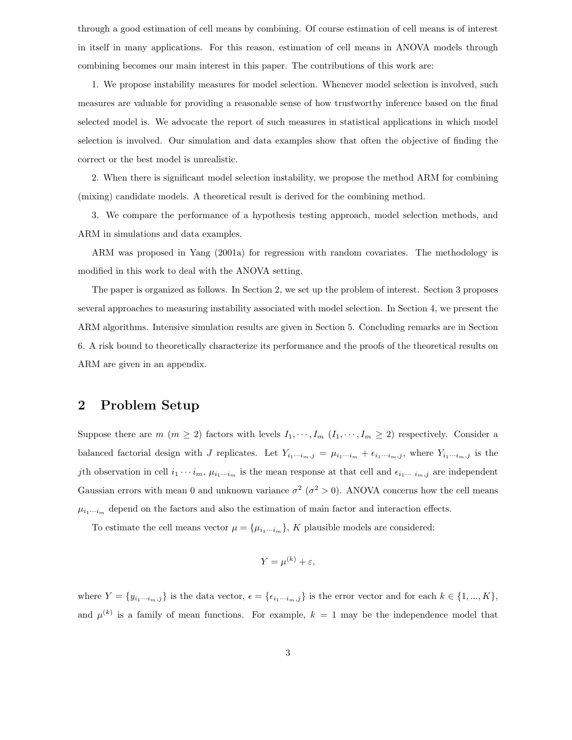through a good estimation of cell means by combining. Of course estimation of cell means is of interest in itself in many applications. For this reason, estimation of cell means in ANOVA models through combining becomes our main interest in this paper. The contributions of this work are:

1. We propose instability measures for model selection. Whenever model selection is involved, such measures are valuable for providing a reasonable sense of how trustworthy inference based on the final selected model is. We advocate the report of such measures in statistical applications in which model selection is involved. Our simulation and data examples show that often the objective of finding the correct or the best model is unrealistic.

2. When there is significant model selection instability, we propose the method ARM for combining (mixing) candidate models. A theoretical result is derived for the combining method.

3. We compare the performance of a hypothesis testing approach, model selection methods, and ARM in simulations and data examples.

ARM was proposed in Yang (2001a) for regression with random covariates. The methodology is modified in this work to deal with the ANOVA setting.

The paper is organized as follows. In Section 2, we set up the problem of interest. Section 3 proposes several approaches to measuring instability associated with model selection. In Section 4, we present the ARM algorithms. Intensive simulation results are given in Section 5. Concluding remarks are in Section 6. A risk bound to theoretically characterize its performance and the proofs of the theoretical results on ARM are given in an appendix.

## 2 Problem Setup

Suppose there are  $m (m \ge 2)$  factors with levels  $I_1, \dots, I_m (I_1, \dots, I_m \ge 2)$  respectively. Consider a balanced factorial design with J replicates. Let  $Y_{i_1\cdots i_m,j} = \mu_{i_1\cdots i_m} + \epsilon_{i_1\cdots i_m,j}$ , where  $Y_{i_1\cdots i_m,j}$  is the jth observation in cell  $i_1 \cdots i_m$ ,  $\mu_{i_1\cdots i_m}$  is the mean response at that cell and  $\epsilon_{i_1\cdots i_m,j}$  are independent Gaussian errors with mean 0 and unknown variance  $\sigma^2$  ( $\sigma^2 > 0$ ). ANOVA concerns how the cell means  $\mu_{i_1\cdots i_m}$  depend on the factors and also the estimation of main factor and interaction effects.

To estimate the cell means vector  $\mu = {\mu_{i_1\cdots i_m}}$ , K plausible models are considered:

$$
Y = \mu^{(k)} + \varepsilon,
$$

where  $Y = \{y_{i_1\cdots i_m,j}\}\$ is the data vector,  $\epsilon = \{\epsilon_{i_1\cdots i_m,j}\}\$ is the error vector and for each  $k \in \{1, ..., K\}$ , and  $\mu^{(k)}$  is a family of mean functions. For example,  $k = 1$  may be the independence model that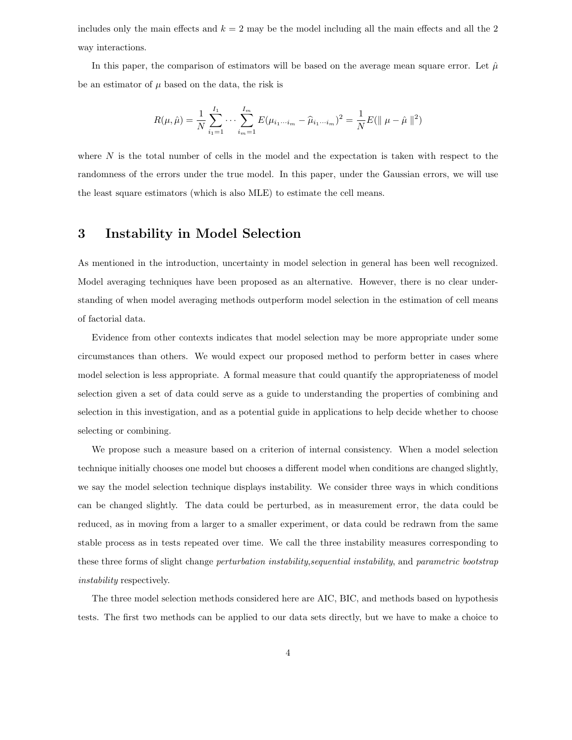includes only the main effects and  $k = 2$  may be the model including all the main effects and all the 2 way interactions.

In this paper, the comparison of estimators will be based on the average mean square error. Let  $\hat{\mu}$ be an estimator of  $\mu$  based on the data, the risk is

$$
R(\mu, \hat{\mu}) = \frac{1}{N} \sum_{i_1=1}^{I_1} \cdots \sum_{i_m=1}^{I_m} E(\mu_{i_1 \cdots i_m} - \hat{\mu}_{i_1 \cdots i_m})^2 = \frac{1}{N} E(||\mu - \hat{\mu}||^2)
$$

where  $N$  is the total number of cells in the model and the expectation is taken with respect to the randomness of the errors under the true model. In this paper, under the Gaussian errors, we will use the least square estimators (which is also MLE) to estimate the cell means.

## 3 Instability in Model Selection

As mentioned in the introduction, uncertainty in model selection in general has been well recognized. Model averaging techniques have been proposed as an alternative. However, there is no clear understanding of when model averaging methods outperform model selection in the estimation of cell means of factorial data.

Evidence from other contexts indicates that model selection may be more appropriate under some circumstances than others. We would expect our proposed method to perform better in cases where model selection is less appropriate. A formal measure that could quantify the appropriateness of model selection given a set of data could serve as a guide to understanding the properties of combining and selection in this investigation, and as a potential guide in applications to help decide whether to choose selecting or combining.

We propose such a measure based on a criterion of internal consistency. When a model selection technique initially chooses one model but chooses a different model when conditions are changed slightly, we say the model selection technique displays instability. We consider three ways in which conditions can be changed slightly. The data could be perturbed, as in measurement error, the data could be reduced, as in moving from a larger to a smaller experiment, or data could be redrawn from the same stable process as in tests repeated over time. We call the three instability measures corresponding to these three forms of slight change *perturbation instability,sequential instability*, and *parametric bootstrap* instability respectively.

The three model selection methods considered here are AIC, BIC, and methods based on hypothesis tests. The first two methods can be applied to our data sets directly, but we have to make a choice to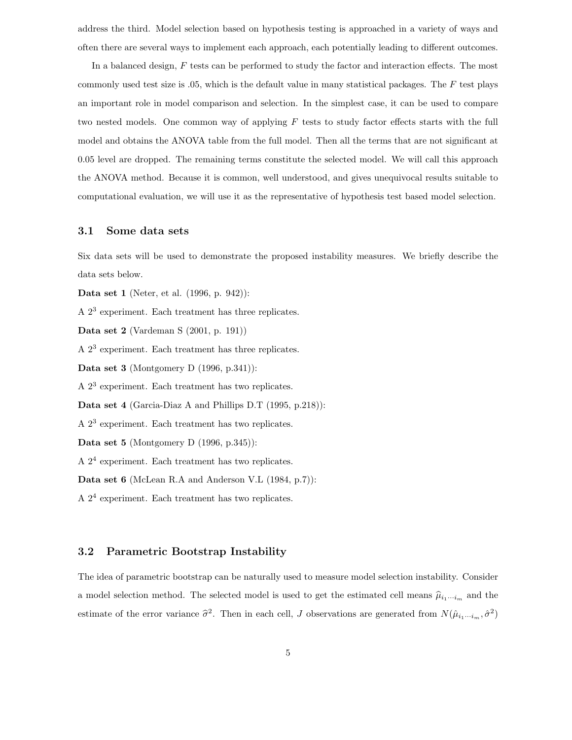address the third. Model selection based on hypothesis testing is approached in a variety of ways and often there are several ways to implement each approach, each potentially leading to different outcomes.

In a balanced design, F tests can be performed to study the factor and interaction effects. The most commonly used test size is  $.05$ , which is the default value in many statistical packages. The F test plays an important role in model comparison and selection. In the simplest case, it can be used to compare two nested models. One common way of applying  $F$  tests to study factor effects starts with the full model and obtains the ANOVA table from the full model. Then all the terms that are not significant at 0.05 level are dropped. The remaining terms constitute the selected model. We will call this approach the ANOVA method. Because it is common, well understood, and gives unequivocal results suitable to computational evaluation, we will use it as the representative of hypothesis test based model selection.

## 3.1 Some data sets

Six data sets will be used to demonstrate the proposed instability measures. We briefly describe the data sets below.

Data set 1 (Neter, et al. (1996, p. 942)):

A 2<sup>3</sup> experiment. Each treatment has three replicates.

Data set 2 (Vardeman S (2001, p. 191))

A  $2^3$  experiment. Each treatment has three replicates.

Data set 3 (Montgomery D (1996, p.341)):

A  $2^3$  experiment. Each treatment has two replicates.

Data set 4 (Garcia-Diaz A and Phillips D.T (1995, p.218)):

A  $2^3$  experiment. Each treatment has two replicates.

Data set 5 (Montgomery D (1996, p.345)):

A  $2<sup>4</sup>$  experiment. Each treatment has two replicates.

Data set 6 (McLean R.A and Anderson V.L (1984, p.7)):

A  $2<sup>4</sup>$  experiment. Each treatment has two replicates.

### 3.2 Parametric Bootstrap Instability

The idea of parametric bootstrap can be naturally used to measure model selection instability. Consider a model selection method. The selected model is used to get the estimated cell means  $\hat{\mu}_{i_1\cdots i_m}$  and the estimate of the error variance  $\hat{\sigma}^2$ . Then in each cell, J observations are generated from  $N(\hat{\mu}_{i_1\cdots i_m}, \hat{\sigma}^2)$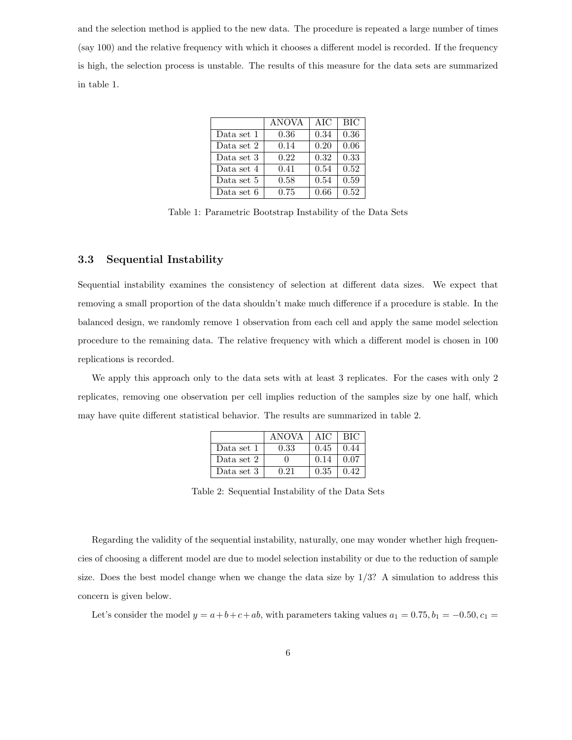and the selection method is applied to the new data. The procedure is repeated a large number of times (say 100) and the relative frequency with which it chooses a different model is recorded. If the frequency is high, the selection process is unstable. The results of this measure for the data sets are summarized in table 1.

|            | <b>ANOVA</b> | AIC  | <b>BIC</b> |
|------------|--------------|------|------------|
| Data set 1 | 0.36         | 0.34 | 0.36       |
| Data set 2 | 0.14         | 0.20 | 0.06       |
| Data set 3 | 0.22         | 0.32 | 0.33       |
| Data set 4 | 0.41         | 0.54 | 0.52       |
| Data set 5 | 0.58         | 0.54 | 0.59       |
| Data set 6 | 0.75         | 0.66 | 0.52       |

Table 1: Parametric Bootstrap Instability of the Data Sets

### 3.3 Sequential Instability

Sequential instability examines the consistency of selection at different data sizes. We expect that removing a small proportion of the data shouldn't make much difference if a procedure is stable. In the balanced design, we randomly remove 1 observation from each cell and apply the same model selection procedure to the remaining data. The relative frequency with which a different model is chosen in 100 replications is recorded.

We apply this approach only to the data sets with at least 3 replicates. For the cases with only 2 replicates, removing one observation per cell implies reduction of the samples size by one half, which may have quite different statistical behavior. The results are summarized in table 2.

|            | <b>ANOVA</b> | AIC. | BIC  |
|------------|--------------|------|------|
| Data set 1 | 0.33         | 0.45 | 0.44 |
| Data set 2 |              | 0.14 | 0.07 |
| Data set 3 | 0.21         | 0.35 | 0.42 |

Table 2: Sequential Instability of the Data Sets

Regarding the validity of the sequential instability, naturally, one may wonder whether high frequencies of choosing a different model are due to model selection instability or due to the reduction of sample size. Does the best model change when we change the data size by  $1/3$ ? A simulation to address this concern is given below.

Let's consider the model  $y = a+b+c+ab$ , with parameters taking values  $a_1 = 0.75$ ,  $b_1 = -0.50$ ,  $c_1 =$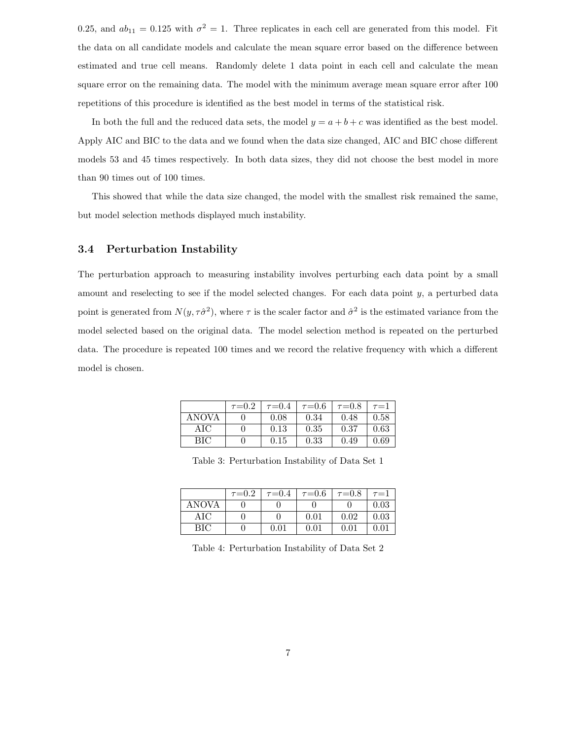0.25, and  $ab_{11} = 0.125$  with  $\sigma^2 = 1$ . Three replicates in each cell are generated from this model. Fit the data on all candidate models and calculate the mean square error based on the difference between estimated and true cell means. Randomly delete 1 data point in each cell and calculate the mean square error on the remaining data. The model with the minimum average mean square error after 100 repetitions of this procedure is identified as the best model in terms of the statistical risk.

In both the full and the reduced data sets, the model  $y = a + b + c$  was identified as the best model. Apply AIC and BIC to the data and we found when the data size changed, AIC and BIC chose different models 53 and 45 times respectively. In both data sizes, they did not choose the best model in more than 90 times out of 100 times.

This showed that while the data size changed, the model with the smallest risk remained the same, but model selection methods displayed much instability.

## 3.4 Perturbation Instability

The perturbation approach to measuring instability involves perturbing each data point by a small amount and reselecting to see if the model selected changes. For each data point y, a perturbed data point is generated from  $N(y, \tau \hat{\sigma}^2)$ , where  $\tau$  is the scaler factor and  $\hat{\sigma}^2$  is the estimated variance from the model selected based on the original data. The model selection method is repeated on the perturbed data. The procedure is repeated 100 times and we record the relative frequency with which a different model is chosen.

|       | $\tau = 0.2$ | $\tau = 0.4$ | $\tau = 0.6$ | $\tau = 0.8$ | $\tau = 1$ |
|-------|--------------|--------------|--------------|--------------|------------|
| ANOVA |              | 0.08         | 0.34         | 0.48         | 0.58       |
| AIC   |              | 0.13         | 0.35         | 0.37         | 0.63       |
| BІC   |              | 0.15         | 0.33         | 0.49         | 0.69       |

Table 3: Perturbation Instability of Data Set 1

|              | $\tau = 0.2$ | $\tau = 0.4$ | $\tau = 0.6$ | $\tau = 0.8$ | $\tau = 1$ |
|--------------|--------------|--------------|--------------|--------------|------------|
| <b>ANOVA</b> |              |              |              |              | 0.03       |
| AIC          |              |              | 0.01         | 0.02         | 0.03       |
| ВIС          |              | 0.01         | 0.01         | $0.01\,$     | 0.01       |

Table 4: Perturbation Instability of Data Set 2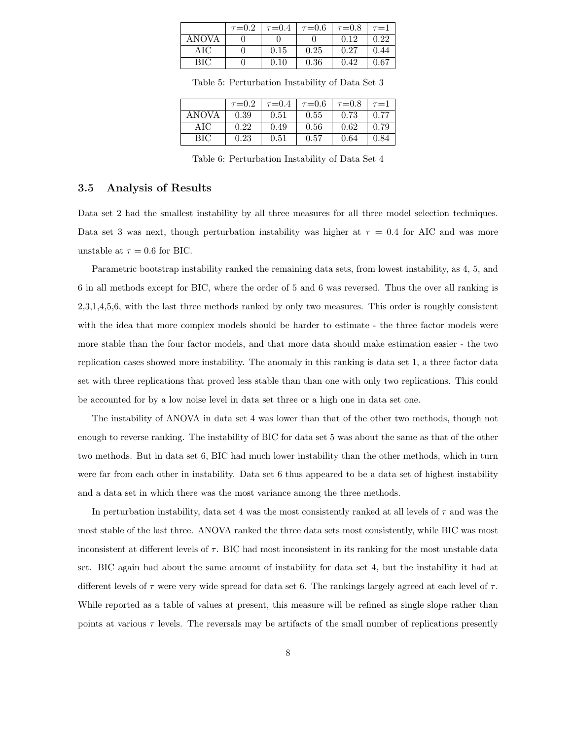|       | $\tau = 0.2$ | $\tau = 0.4$ | $\tau{=}0.6$ | $\tau = 0.8$ | $\tau = 1$ |
|-------|--------------|--------------|--------------|--------------|------------|
| ANOVA |              |              |              | 0.12         | 0.22       |
| AIC   |              | 0.15         | 0.25         | 0.27         | 0.44       |
| BIC.  |              | 0.10         | 0.36         | 0.42         | 0.67       |

Table 5: Perturbation Instability of Data Set 3

|       | $\tau = 0.2$ | $\tau = 0.4$ | $\tau = 0.6$ | $\tau = 0.8$ | $\tau = 1$ |
|-------|--------------|--------------|--------------|--------------|------------|
| ANOVA | 0.39         | 0.51         | 0.55         | 0.73         | 0.77       |
| AIC   | 0.22         | 0.49         | 0.56         | 0.62         | 0.79       |
| BІC   | 0.23         | 0.51         | 0.57         | 0.64         | 0.84       |

Table 6: Perturbation Instability of Data Set 4

## 3.5 Analysis of Results

Data set 2 had the smallest instability by all three measures for all three model selection techniques. Data set 3 was next, though perturbation instability was higher at  $\tau = 0.4$  for AIC and was more unstable at  $\tau = 0.6$  for BIC.

Parametric bootstrap instability ranked the remaining data sets, from lowest instability, as 4, 5, and 6 in all methods except for BIC, where the order of 5 and 6 was reversed. Thus the over all ranking is 2,3,1,4,5,6, with the last three methods ranked by only two measures. This order is roughly consistent with the idea that more complex models should be harder to estimate - the three factor models were more stable than the four factor models, and that more data should make estimation easier - the two replication cases showed more instability. The anomaly in this ranking is data set 1, a three factor data set with three replications that proved less stable than than one with only two replications. This could be accounted for by a low noise level in data set three or a high one in data set one.

The instability of ANOVA in data set 4 was lower than that of the other two methods, though not enough to reverse ranking. The instability of BIC for data set 5 was about the same as that of the other two methods. But in data set 6, BIC had much lower instability than the other methods, which in turn were far from each other in instability. Data set 6 thus appeared to be a data set of highest instability and a data set in which there was the most variance among the three methods.

In perturbation instability, data set 4 was the most consistently ranked at all levels of  $\tau$  and was the most stable of the last three. ANOVA ranked the three data sets most consistently, while BIC was most inconsistent at different levels of  $\tau$ . BIC had most inconsistent in its ranking for the most unstable data set. BIC again had about the same amount of instability for data set 4, but the instability it had at different levels of  $\tau$  were very wide spread for data set 6. The rankings largely agreed at each level of  $\tau$ . While reported as a table of values at present, this measure will be refined as single slope rather than points at various  $\tau$  levels. The reversals may be artifacts of the small number of replications presently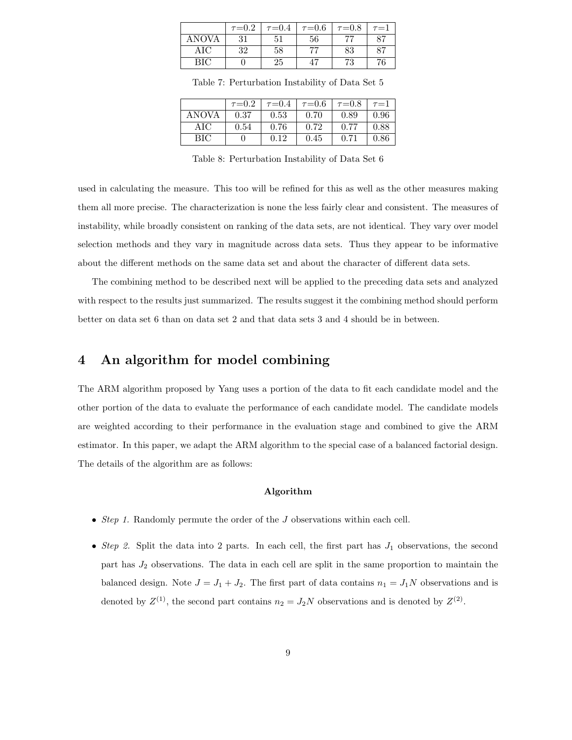|            | $\tau = 0.2$ | $\tau = 0.4$ | $\tau = 0.6$ | $\tau = 0.8$ | $\tau = 1$ |
|------------|--------------|--------------|--------------|--------------|------------|
| ANOVA      | 21           |              | 56           |              | $Q \nabla$ |
| AIC        | 32           | 58           |              | 83           | 87         |
| <b>RIC</b> |              | 25           |              | 79           | 76         |

Table 7: Perturbation Instability of Data Set 5

|       | $\tau = 0.2$ | $\tau = 0.4$ | $\tau = 0.6$ | $\tau = 0.8$ | $\tau = 1$ |
|-------|--------------|--------------|--------------|--------------|------------|
| ANOVA | 0.37         | 0.53         | 0.70         | 0.89         | 0.96       |
| AIC   | 0.54         | 0.76         | 0.72         | 0.77         | 0.88       |
| BIC.  |              | 0.12         | 0.45         | 0.71         | 0.86       |

Table 8: Perturbation Instability of Data Set 6

used in calculating the measure. This too will be refined for this as well as the other measures making them all more precise. The characterization is none the less fairly clear and consistent. The measures of instability, while broadly consistent on ranking of the data sets, are not identical. They vary over model selection methods and they vary in magnitude across data sets. Thus they appear to be informative about the different methods on the same data set and about the character of different data sets.

The combining method to be described next will be applied to the preceding data sets and analyzed with respect to the results just summarized. The results suggest it the combining method should perform better on data set 6 than on data set 2 and that data sets 3 and 4 should be in between.

## 4 An algorithm for model combining

The ARM algorithm proposed by Yang uses a portion of the data to fit each candidate model and the other portion of the data to evaluate the performance of each candidate model. The candidate models are weighted according to their performance in the evaluation stage and combined to give the ARM estimator. In this paper, we adapt the ARM algorithm to the special case of a balanced factorial design. The details of the algorithm are as follows:

#### Algorithm

- Step 1. Randomly permute the order of the J observations within each cell.
- Step 2. Split the data into 2 parts. In each cell, the first part has  $J_1$  observations, the second part has  $J_2$  observations. The data in each cell are split in the same proportion to maintain the balanced design. Note  $J = J_1 + J_2$ . The first part of data contains  $n_1 = J_1N$  observations and is denoted by  $Z^{(1)}$ , the second part contains  $n_2 = J_2N$  observations and is denoted by  $Z^{(2)}$ .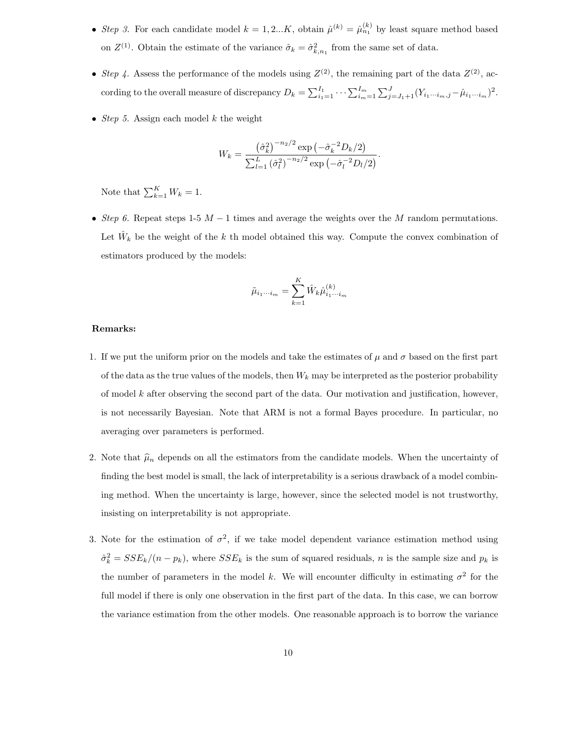- Step 3. For each candidate model  $k = 1, 2...K$ , obtain  $\hat{\mu}^{(k)} = \hat{\mu}_{n_1}^{(k)}$  by least square method based on  $Z^{(1)}$ . Obtain the estimate of the variance  $\hat{\sigma}_k = \hat{\sigma}_{k,n_1}^2$  from the same set of data.
- Step 4. Assess the performance of the models using  $Z^{(2)}$ , the remaining part of the data  $Z^{(2)}$ , according to the overall measure of discrepancy  $D_k = \sum_{i_1=1}^{I_1} \cdots \sum_{i_m=1}^{I_m} \sum_{j=J_1+1}^{J} (Y_{i_1\cdots i_m,j} - \hat{\mu}_{i_1\cdots i_m})^2$ .
- Step 5. Assign each model  $k$  the weight

$$
W_k = \frac{\left(\hat{\sigma}_k^2\right)^{-n_2/2} \exp\left(-\hat{\sigma}_k^{-2} D_k/2\right)}{\sum_{l=1}^L \left(\hat{\sigma}_l^2\right)^{-n_2/2} \exp\left(-\hat{\sigma}_l^{-2} D_l/2\right)}.
$$

Note that  $\sum_{k=1}^{K} W_k = 1$ .

• Step 6. Repeat steps 1-5  $M-1$  times and average the weights over the M random permutations. Let  $\hat{W}_k$  be the weight of the k th model obtained this way. Compute the convex combination of estimators produced by the models:

$$
\tilde{\mu}_{i_1\cdots i_m} = \sum_{k=1}^K \hat{W}_k \hat{\mu}_{i_1\cdots i_m}^{(k)}
$$

#### Remarks:

- 1. If we put the uniform prior on the models and take the estimates of  $\mu$  and  $\sigma$  based on the first part of the data as the true values of the models, then  $W_k$  may be interpreted as the posterior probability of model  $k$  after observing the second part of the data. Our motivation and justification, however, is not necessarily Bayesian. Note that ARM is not a formal Bayes procedure. In particular, no averaging over parameters is performed.
- 2. Note that  $\hat{\mu}_n$  depends on all the estimators from the candidate models. When the uncertainty of finding the best model is small, the lack of interpretability is a serious drawback of a model combining method. When the uncertainty is large, however, since the selected model is not trustworthy, insisting on interpretability is not appropriate.
- 3. Note for the estimation of  $\sigma^2$ , if we take model dependent variance estimation method using  $\hat{\sigma}_k^2 = SSE_k/(n - p_k)$ , where  $SSE_k$  is the sum of squared residuals, n is the sample size and  $p_k$  is the number of parameters in the model k. We will encounter difficulty in estimating  $\sigma^2$  for the full model if there is only one observation in the first part of the data. In this case, we can borrow the variance estimation from the other models. One reasonable approach is to borrow the variance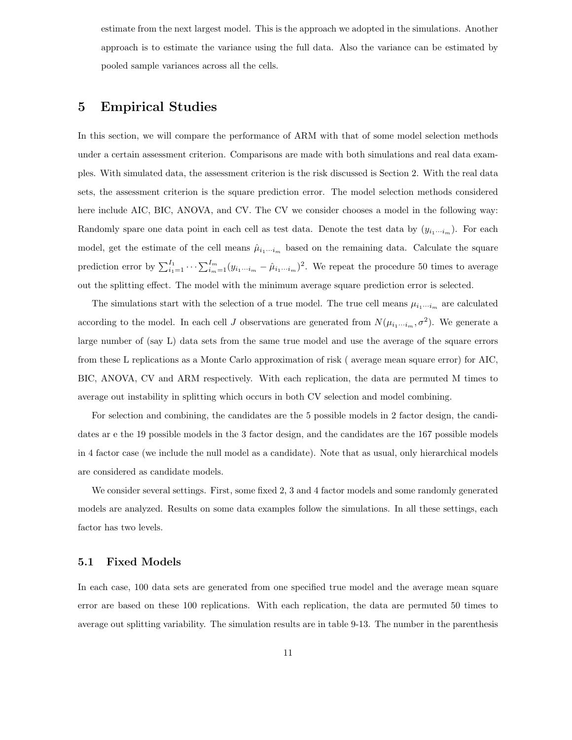estimate from the next largest model. This is the approach we adopted in the simulations. Another approach is to estimate the variance using the full data. Also the variance can be estimated by pooled sample variances across all the cells.

## 5 Empirical Studies

In this section, we will compare the performance of ARM with that of some model selection methods under a certain assessment criterion. Comparisons are made with both simulations and real data examples. With simulated data, the assessment criterion is the risk discussed is Section 2. With the real data sets, the assessment criterion is the square prediction error. The model selection methods considered here include AIC, BIC, ANOVA, and CV. The CV we consider chooses a model in the following way: Randomly spare one data point in each cell as test data. Denote the test data by  $(y_{i_1\cdots i_m})$ . For each model, get the estimate of the cell means  $\hat{\mu}_{i_1\cdots i_m}$  based on the remaining data. Calculate the square prediction error by  $\sum_{i=1}^{I_1} \cdots \sum_{i_m=1}^{I_m} (y_{i_1\cdots i_m} - \hat{\mu}_{i_1\cdots i_m})^2$ . We repeat the procedure 50 times to average out the splitting effect. The model with the minimum average square prediction error is selected.

The simulations start with the selection of a true model. The true cell means  $\mu_{i_1\cdots i_m}$  are calculated according to the model. In each cell J observations are generated from  $N(\mu_{i_1\cdots i_m}, \sigma^2)$ . We generate a large number of (say L) data sets from the same true model and use the average of the square errors from these L replications as a Monte Carlo approximation of risk ( average mean square error) for AIC, BIC, ANOVA, CV and ARM respectively. With each replication, the data are permuted M times to average out instability in splitting which occurs in both CV selection and model combining.

For selection and combining, the candidates are the 5 possible models in 2 factor design, the candidates ar e the 19 possible models in the 3 factor design, and the candidates are the 167 possible models in 4 factor case (we include the null model as a candidate). Note that as usual, only hierarchical models are considered as candidate models.

We consider several settings. First, some fixed 2, 3 and 4 factor models and some randomly generated models are analyzed. Results on some data examples follow the simulations. In all these settings, each factor has two levels.

## 5.1 Fixed Models

In each case, 100 data sets are generated from one specified true model and the average mean square error are based on these 100 replications. With each replication, the data are permuted 50 times to average out splitting variability. The simulation results are in table 9-13. The number in the parenthesis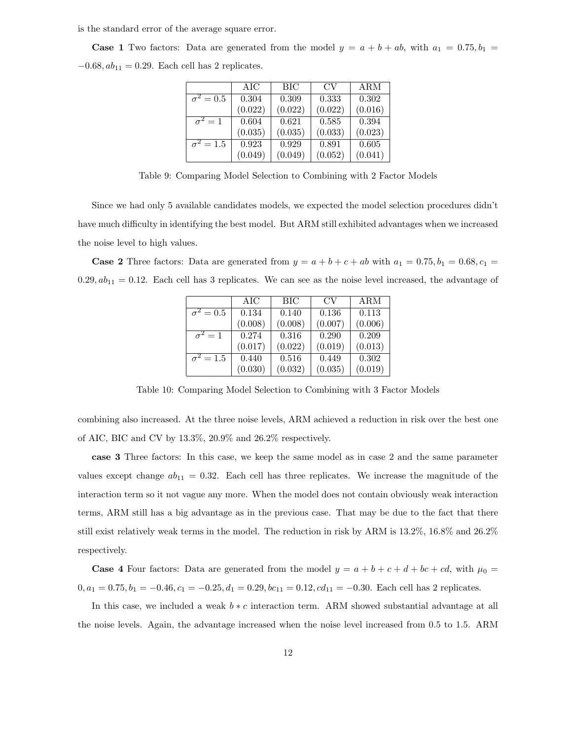is the standard error of the average square error.

**Case 1** Two factors: Data are generated from the model  $y = a + b + ab$ , with  $a_1 = 0.75$ ,  $b_1 =$  $-0.68, ab_{11} = 0.29$ . Each cell has 2 replicates.

|                             | AIC     | <b>BIC</b> | CV      | ARM     |
|-----------------------------|---------|------------|---------|---------|
| $\overline{\sigma^2} = 0.5$ | 0.304   | 0.309      | 0.333   | 0.302   |
|                             | (0.022) | (0.022)    | (0.022) | (0.016) |
| $\sigma^2=1$                | 0.604   | 0.621      | 0.585   | 0.394   |
|                             | (0.035) | (0.035)    | (0.033) | (0.023) |
| $\sigma^2=1.5$              | 0.923   | 0.929      | 0.891   | 0.605   |
|                             | (0.049) | (0.049)    | (0.052) | (0.041) |

Table 9: Comparing Model Selection to Combining with 2 Factor Models

Since we had only 5 available candidates models, we expected the model selection procedures didn't have much difficulty in identifying the best model. But ARM still exhibited advantages when we increased the noise level to high values.

**Case 2** Three factors: Data are generated from  $y = a + b + c + ab$  with  $a_1 = 0.75$ ,  $b_1 = 0.68$ ,  $c_1 =$  $0.29, ab_{11} = 0.12$ . Each cell has 3 replicates. We can see as the noise level increased, the advantage of

|                             | AIC     | BIC     | CV      | ARM     |
|-----------------------------|---------|---------|---------|---------|
| $\overline{\sigma^2=0.5}$   | 0.134   | 0.140   | 0.136   | 0.113   |
|                             | (0.008) | (0.008) | (0.007) | (0.006) |
| $\sigma^2=1$                | 0.274   | 0.316   | 0.290   | 0.209   |
|                             | (0.017) | (0.022) | (0.019) | (0.013) |
| $\overline{\sigma}^2 = 1.5$ | 0.440   | 0.516   | 0.449   | 0.302   |
|                             | (0.030) | (0.032) | (0.035) | (0.019) |

Table 10: Comparing Model Selection to Combining with 3 Factor Models

combining also increased. At the three noise levels, ARM achieved a reduction in risk over the best one of AIC, BIC and CV by 13.3%, 20.9% and 26.2% respectively.

case 3 Three factors: In this case, we keep the same model as in case 2 and the same parameter values except change  $ab_{11} = 0.32$ . Each cell has three replicates. We increase the magnitude of the interaction term so it not vague any more. When the model does not contain obviously weak interaction terms, ARM still has a big advantage as in the previous case. That may be due to the fact that there still exist relatively weak terms in the model. The reduction in risk by ARM is 13.2%, 16.8% and 26.2% respectively.

**Case 4** Four factors: Data are generated from the model  $y = a + b + c + d + bc + cd$ , with  $\mu_0 =$  $0, a_1 = 0.75, b_1 = -0.46, c_1 = -0.25, d_1 = 0.29, bc_{11} = 0.12, cd_{11} = -0.30$ . Each cell has 2 replicates.

In this case, we included a weak  $b * c$  interaction term. ARM showed substantial advantage at all the noise levels. Again, the advantage increased when the noise level increased from 0.5 to 1.5. ARM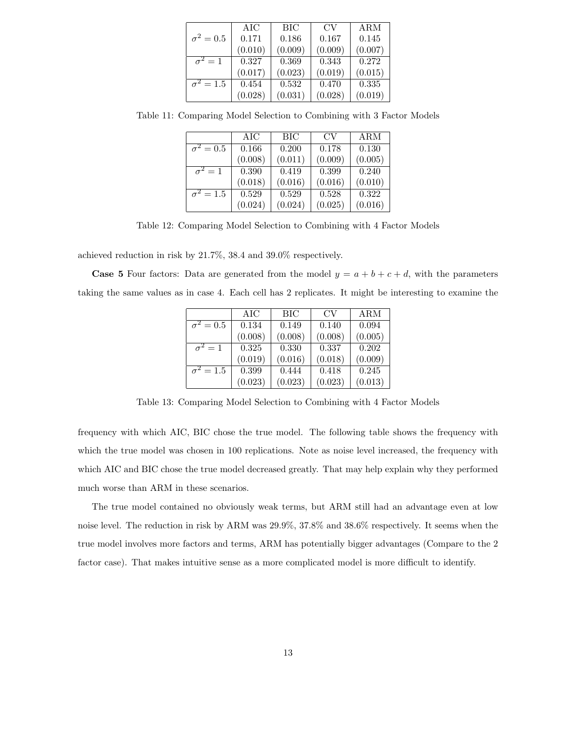|                         | AIC     | <b>BIC</b> | CV.     | ARM     |
|-------------------------|---------|------------|---------|---------|
| $\sigma^2=0.5$          | 0.171   | 0.186      | 0.167   | 0.145   |
|                         | (0.010) | (0.009)    | (0.009) | (0.007) |
| $\overline{\sigma}^2=1$ | 0.327   | 0.369      | 0.343   | 0.272   |
|                         | (0.017) | (0.023)    | (0.019) | (0.015) |
| $\sigma^2=1.5$          | 0.454   | 0.532      | 0.470   | 0.335   |
|                         | (0.028) | (0.031)    | (0.028) | (0.019) |

Table 11: Comparing Model Selection to Combining with 3 Factor Models

|                             | AIC     | <b>BIC</b> | CV      | ARM     |
|-----------------------------|---------|------------|---------|---------|
| $\overline{\sigma^2} = 0.5$ | 0.166   | 0.200      | 0.178   | 0.130   |
|                             | (0.008) | (0.011)    | (0.009) | (0.005) |
| $\sigma^2=1$                | 0.390   | 0.419      | 0.399   | 0.240   |
|                             | (0.018) | (0.016)    | (0.016) | (0.010) |
| $\overline{\sigma^2} = 1.5$ | 0.529   | 0.529      | 0.528   | 0.322   |
|                             | (0.024) | (0.024)    | (0.025) | (0.016) |

Table 12: Comparing Model Selection to Combining with 4 Factor Models

achieved reduction in risk by 21.7%, 38.4 and 39.0% respectively.

**Case 5** Four factors: Data are generated from the model  $y = a + b + c + d$ , with the parameters taking the same values as in case 4. Each cell has 2 replicates. It might be interesting to examine the

|                             | AIC     | BIC     | CV      | ARM     |
|-----------------------------|---------|---------|---------|---------|
| $\overline{\sigma^2} = 0.5$ | 0.134   | 0.149   | 0.140   | 0.094   |
|                             | (0.008) | (0.008) | (0.008) | (0.005) |
| $\sigma^2=1$                | 0.325   | 0.330   | 0.337   | 0.202   |
|                             | (0.019) | (0.016) | (0.018) | (0.009) |
| $\sigma^2 = 1.5$            | 0.399   | 0.444   | 0.418   | 0.245   |
|                             | (0.023) | (0.023) | (0.023) | (0.013) |

Table 13: Comparing Model Selection to Combining with 4 Factor Models

frequency with which AIC, BIC chose the true model. The following table shows the frequency with which the true model was chosen in 100 replications. Note as noise level increased, the frequency with which AIC and BIC chose the true model decreased greatly. That may help explain why they performed much worse than ARM in these scenarios.

The true model contained no obviously weak terms, but ARM still had an advantage even at low noise level. The reduction in risk by ARM was 29.9%, 37.8% and 38.6% respectively. It seems when the true model involves more factors and terms, ARM has potentially bigger advantages (Compare to the 2 factor case). That makes intuitive sense as a more complicated model is more difficult to identify.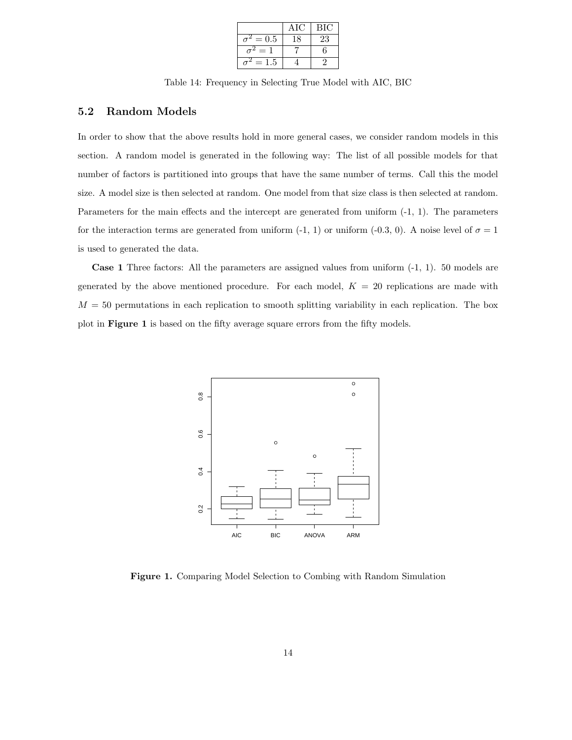|         | Α         | <b>BIC</b> |
|---------|-----------|------------|
| $= 0.5$ | $\lambda$ | 23         |
|         |           | հ          |
| .5      |           |            |

Table 14: Frequency in Selecting True Model with AIC, BIC

### 5.2 Random Models

In order to show that the above results hold in more general cases, we consider random models in this section. A random model is generated in the following way: The list of all possible models for that number of factors is partitioned into groups that have the same number of terms. Call this the model size. A model size is then selected at random. One model from that size class is then selected at random. Parameters for the main effects and the intercept are generated from uniform (-1, 1). The parameters for the interaction terms are generated from uniform (-1, 1) or uniform (-0.3, 0). A noise level of  $\sigma = 1$ is used to generated the data.

Case 1 Three factors: All the parameters are assigned values from uniform (-1, 1). 50 models are generated by the above mentioned procedure. For each model,  $K = 20$  replications are made with  $M = 50$  permutations in each replication to smooth splitting variability in each replication. The box plot in Figure 1 is based on the fifty average square errors from the fifty models.



Figure 1. Comparing Model Selection to Combing with Random Simulation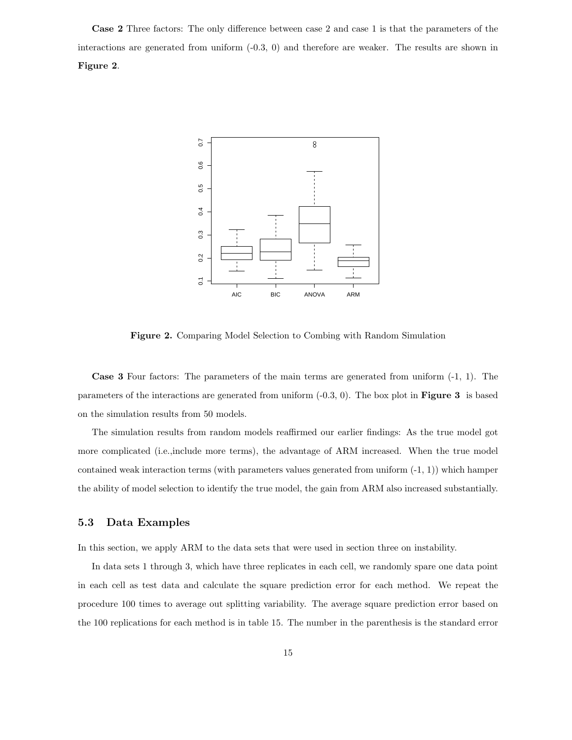Case 2 Three factors: The only difference between case 2 and case 1 is that the parameters of the interactions are generated from uniform (-0.3, 0) and therefore are weaker. The results are shown in Figure 2.



Figure 2. Comparing Model Selection to Combing with Random Simulation

Case 3 Four factors: The parameters of the main terms are generated from uniform (-1, 1). The parameters of the interactions are generated from uniform  $(-0.3, 0)$ . The box plot in **Figure 3** is based on the simulation results from 50 models.

The simulation results from random models reaffirmed our earlier findings: As the true model got more complicated (i.e.,include more terms), the advantage of ARM increased. When the true model contained weak interaction terms (with parameters values generated from uniform (-1, 1)) which hamper the ability of model selection to identify the true model, the gain from ARM also increased substantially.

### 5.3 Data Examples

In this section, we apply ARM to the data sets that were used in section three on instability.

In data sets 1 through 3, which have three replicates in each cell, we randomly spare one data point in each cell as test data and calculate the square prediction error for each method. We repeat the procedure 100 times to average out splitting variability. The average square prediction error based on the 100 replications for each method is in table 15. The number in the parenthesis is the standard error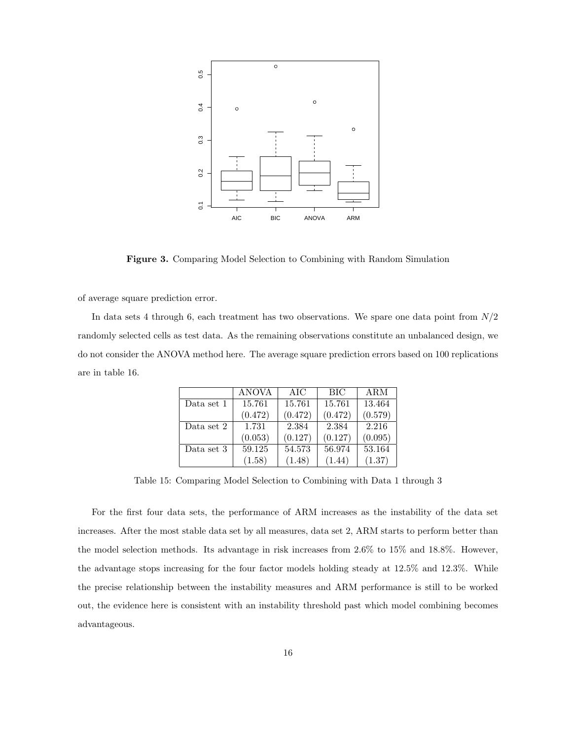

Figure 3. Comparing Model Selection to Combining with Random Simulation

of average square prediction error.

In data sets 4 through 6, each treatment has two observations. We spare one data point from  $N/2$ randomly selected cells as test data. As the remaining observations constitute an unbalanced design, we do not consider the ANOVA method here. The average square prediction errors based on 100 replications are in table 16.

|            | ANOVA   | AIC     | <b>BIC</b> | ARM     |
|------------|---------|---------|------------|---------|
| Data set 1 | 15.761  | 15.761  | 15.761     | 13.464  |
|            | (0.472) | (0.472) | (0.472)    | (0.579) |
| Data set 2 | 1.731   | 2.384   | 2.384      | 2.216   |
|            | (0.053) | (0.127) | (0.127)    | (0.095) |
| Data set 3 | 59.125  | 54.573  | 56.974     | 53.164  |
|            | (1.58)  | (1.48)  | (1.44)     | (1.37)  |

Table 15: Comparing Model Selection to Combining with Data 1 through 3

For the first four data sets, the performance of ARM increases as the instability of the data set increases. After the most stable data set by all measures, data set 2, ARM starts to perform better than the model selection methods. Its advantage in risk increases from 2.6% to 15% and 18.8%. However, the advantage stops increasing for the four factor models holding steady at 12.5% and 12.3%. While the precise relationship between the instability measures and ARM performance is still to be worked out, the evidence here is consistent with an instability threshold past which model combining becomes advantageous.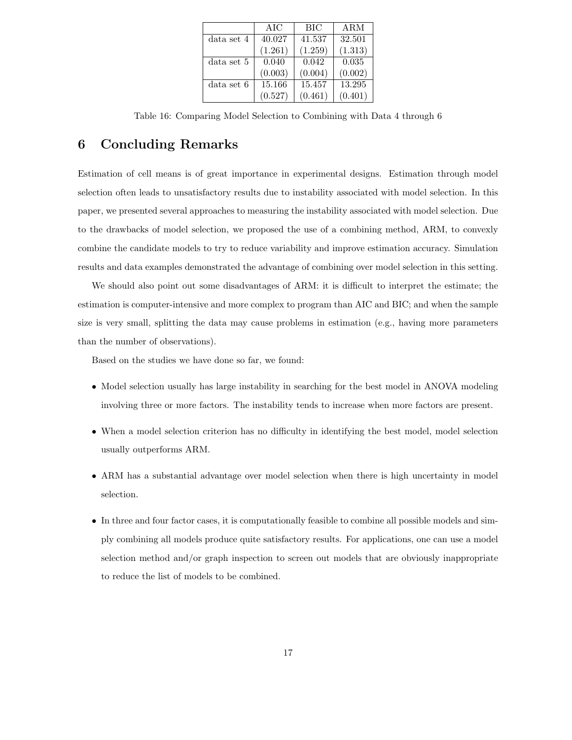|            | AIC     | <b>BIC</b> | ARM     |
|------------|---------|------------|---------|
| data set 4 | 40.027  | 41.537     | 32.501  |
|            | (1.261) | (1.259)    | (1.313) |
| data set 5 | 0.040   | 0.042      | 0.035   |
|            | (0.003) | (0.004)    | (0.002) |
| data set 6 | 15.166  | 15.457     | 13.295  |
|            | (0.527) | (0.461)    | (0.401) |

Table 16: Comparing Model Selection to Combining with Data 4 through 6

## 6 Concluding Remarks

Estimation of cell means is of great importance in experimental designs. Estimation through model selection often leads to unsatisfactory results due to instability associated with model selection. In this paper, we presented several approaches to measuring the instability associated with model selection. Due to the drawbacks of model selection, we proposed the use of a combining method, ARM, to convexly combine the candidate models to try to reduce variability and improve estimation accuracy. Simulation results and data examples demonstrated the advantage of combining over model selection in this setting.

We should also point out some disadvantages of ARM: it is difficult to interpret the estimate; the estimation is computer-intensive and more complex to program than AIC and BIC; and when the sample size is very small, splitting the data may cause problems in estimation (e.g., having more parameters than the number of observations).

Based on the studies we have done so far, we found:

- Model selection usually has large instability in searching for the best model in ANOVA modeling involving three or more factors. The instability tends to increase when more factors are present.
- When a model selection criterion has no difficulty in identifying the best model, model selection usually outperforms ARM.
- ARM has a substantial advantage over model selection when there is high uncertainty in model selection.
- In three and four factor cases, it is computationally feasible to combine all possible models and simply combining all models produce quite satisfactory results. For applications, one can use a model selection method and/or graph inspection to screen out models that are obviously inappropriate to reduce the list of models to be combined.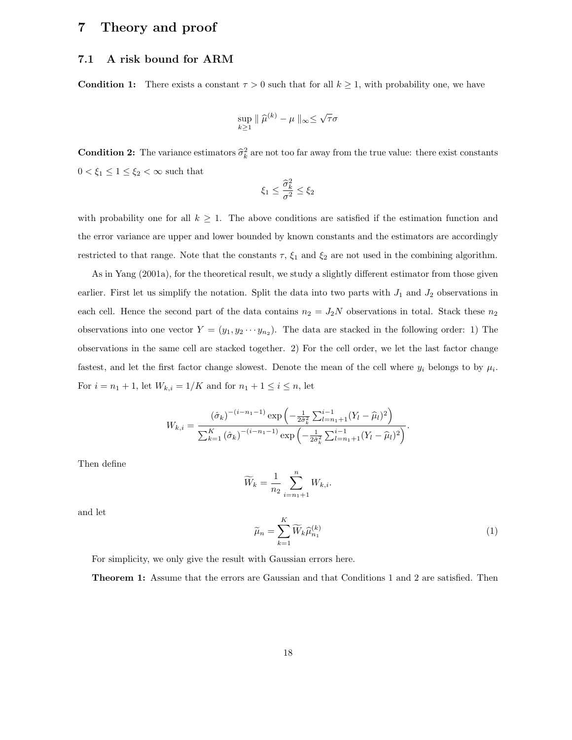## 7 Theory and proof

## 7.1 A risk bound for ARM

**Condition 1:** There exists a constant  $\tau > 0$  such that for all  $k \geq 1$ , with probability one, we have

$$
\sup_{k\geq 1} \|\widehat{\mu}^{(k)} - \mu\|_{\infty} \leq \sqrt{\tau}\sigma
$$

**Condition 2:** The variance estimators  $\hat{\sigma}_k^2$  are not too far away from the true value: there exist constants  $0 < \xi_1 \leq 1 \leq \xi_2 < \infty$  such that

$$
\xi_1 \leq \frac{\widehat{\sigma}_k^2}{\sigma^2} \leq \xi_2
$$

with probability one for all  $k \geq 1$ . The above conditions are satisfied if the estimation function and the error variance are upper and lower bounded by known constants and the estimators are accordingly restricted to that range. Note that the constants  $\tau$ ,  $\xi_1$  and  $\xi_2$  are not used in the combining algorithm.

As in Yang (2001a), for the theoretical result, we study a slightly different estimator from those given earlier. First let us simplify the notation. Split the data into two parts with  $J_1$  and  $J_2$  observations in each cell. Hence the second part of the data contains  $n_2 = J_2N$  observations in total. Stack these  $n_2$ observations into one vector  $Y = (y_1, y_2 \cdots y_{n_2})$ . The data are stacked in the following order: 1) The observations in the same cell are stacked together. 2) For the cell order, we let the last factor change fastest, and let the first factor change slowest. Denote the mean of the cell where  $y_i$  belongs to by  $\mu_i$ . For  $i = n_1 + 1$ , let  $W_{k,i} = 1/K$  and for  $n_1 + 1 \le i \le n$ , let

$$
W_{k,i} = \frac{(\hat{\sigma}_k)^{-(i-n_1-1)} \exp\left(-\frac{1}{2\hat{\sigma}_k^2} \sum_{l=n_1+1}^{i-1} (Y_l - \hat{\mu}_l)^2\right)}{\sum_{k=1}^K (\hat{\sigma}_k)^{-(i-n_1-1)} \exp\left(-\frac{1}{2\hat{\sigma}_k^2} \sum_{l=n_1+1}^{i-1} (Y_l - \hat{\mu}_l)^2\right)}.
$$

Then define

$$
\widetilde{W}_k = \frac{1}{n_2} \sum_{i=n_1+1}^n W_{k,i}.
$$

and let

$$
\widetilde{\mu}_n = \sum_{k=1}^K \widetilde{W}_k \widehat{\mu}_{n_1}^{(k)} \tag{1}
$$

For simplicity, we only give the result with Gaussian errors here.

Theorem 1: Assume that the errors are Gaussian and that Conditions 1 and 2 are satisfied. Then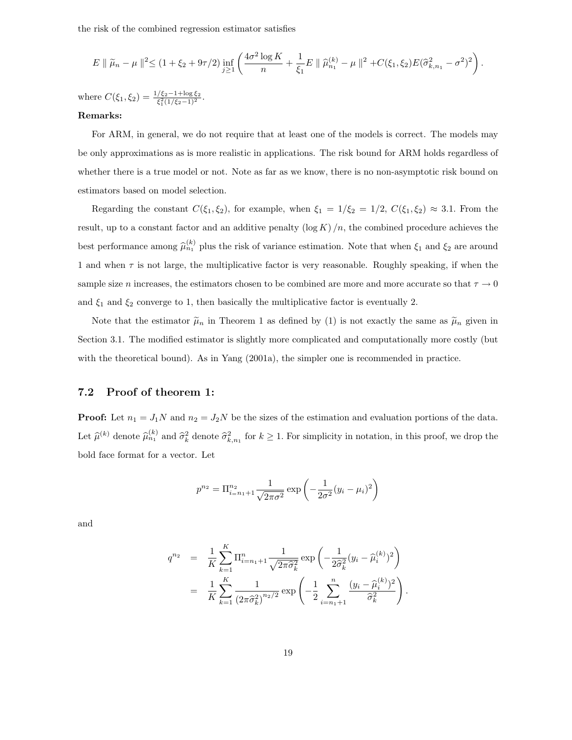the risk of the combined regression estimator satisfies

$$
E \parallel \widetilde{\mu}_n - \mu \parallel^2 \leq (1 + \xi_2 + 9\tau/2) \inf_{j \geq 1} \left( \frac{4\sigma^2 \log K}{n} + \frac{1}{\xi_1} E \parallel \widehat{\mu}_{n_1}^{(k)} - \mu \parallel^2 + C(\xi_1, \xi_2) E(\widehat{\sigma}_{k,n_1}^2 - \sigma^2)^2 \right).
$$

where  $C(\xi_1, \xi_2) = \frac{1/\xi_2 - 1 + \log \xi_2}{\xi_1^2 (1/\xi_2 - 1)^2}$ .

### Remarks:

For ARM, in general, we do not require that at least one of the models is correct. The models may be only approximations as is more realistic in applications. The risk bound for ARM holds regardless of whether there is a true model or not. Note as far as we know, there is no non-asymptotic risk bound on estimators based on model selection.

Regarding the constant  $C(\xi_1, \xi_2)$ , for example, when  $\xi_1 = 1/\xi_2 = 1/2$ ,  $C(\xi_1, \xi_2) \approx 3.1$ . From the result, up to a constant factor and an additive penalty  $(\log K)/n$ , the combined procedure achieves the best performance among  $\hat{\mu}_{n_1}^{(k)}$  plus the risk of variance estimation. Note that when  $\xi_1$  and  $\xi_2$  are around 1 and when  $\tau$  is not large, the multiplicative factor is very reasonable. Roughly speaking, if when the sample size n increases, the estimators chosen to be combined are more and more accurate so that  $\tau \to 0$ and  $\xi_1$  and  $\xi_2$  converge to 1, then basically the multiplicative factor is eventually 2.

Note that the estimator  $\tilde{\mu}_n$  in Theorem 1 as defined by (1) is not exactly the same as  $\tilde{\mu}_n$  given in Section 3.1. The modified estimator is slightly more complicated and computationally more costly (but with the theoretical bound). As in Yang (2001a), the simpler one is recommended in practice.

## 7.2 Proof of theorem 1:

**Proof:** Let  $n_1 = J_1N$  and  $n_2 = J_2N$  be the sizes of the estimation and evaluation portions of the data. Let  $\hat{\mu}^{(k)}$  denote  $\hat{\sigma}_{k}^{(k)}$  and  $\hat{\sigma}_{k}^{2}$  denote  $\hat{\sigma}_{k,n_1}^{2}$  for  $k \geq 1$ . For simplicity in notation, in this proof, we drop the bold face format for a vector. Let

$$
p^{n_2} = \Pi_{i=n_1+1}^{n_2} \frac{1}{\sqrt{2\pi\sigma^2}} \exp\left(-\frac{1}{2\sigma^2}(y_i - \mu_i)^2\right)
$$

and

$$
q^{n_2} = \frac{1}{K} \sum_{k=1}^{K} \Pi_{i=n_1+1}^n \frac{1}{\sqrt{2\pi \hat{\sigma}_k^2}} \exp\left(-\frac{1}{2\hat{\sigma}_k^2} (y_i - \hat{\mu}_i^{(k)})^2\right)
$$
  
= 
$$
\frac{1}{K} \sum_{k=1}^{K} \frac{1}{(2\pi \hat{\sigma}_k^2)^{n_2/2}} \exp\left(-\frac{1}{2} \sum_{i=n_1+1}^{n} \frac{(y_i - \hat{\mu}_i^{(k)})^2}{\hat{\sigma}_k^2}\right).
$$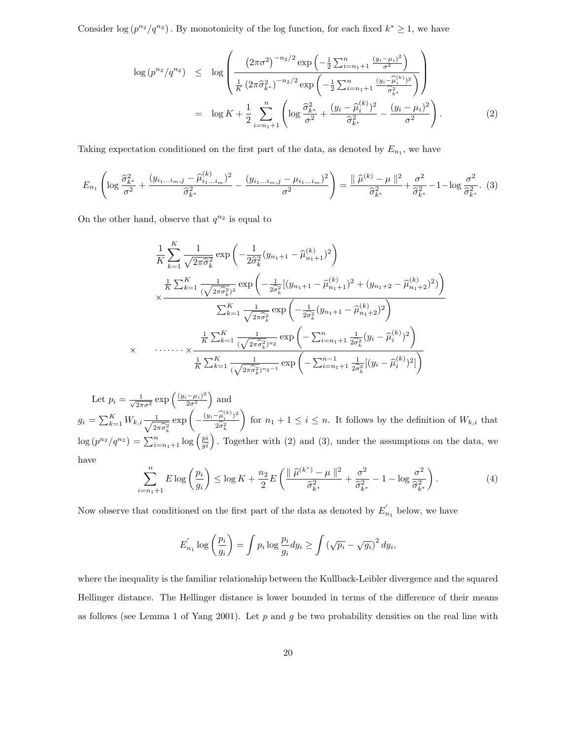Consider  $\log (p^{n_2}/q^{n_2})$ . By monotonicity of the log function, for each fixed  $k^* \geq 1$ , we have

$$
\log (p^{n_2}/q^{n_2}) \leq \log \left( \frac{\left(2\pi\sigma^2\right)^{-n_2/2} \exp \left(-\frac{1}{2} \sum_{i=n_1+1}^n \frac{\left(y_i - \mu_i\right)^2}{\sigma^2}\right)}{\frac{1}{K} \left(2\pi\widehat{\sigma}_{k^*}^2\right)^{-n_2/2} \exp \left(-\frac{1}{2} \sum_{i=n_1+1}^n \frac{\left(y_i - \widehat{\mu}_{i}^{(k)}\right)^2}{\widehat{\sigma}_{k^*}^2}\right)}\right) \n= \log K + \frac{1}{2} \sum_{i=n_1+1}^n \left( \log \frac{\widehat{\sigma}_{k^*}^2}{\sigma^2} + \frac{\left(y_i - \widehat{\mu}_{i}^{(k)}\right)^2}{\widehat{\sigma}_{k^*}^2} - \frac{\left(y_i - \mu_i\right)^2}{\sigma^2} \right).
$$
\n(2)

Taking expectation conditioned on the first part of the data, as denoted by  $E_{n_1}$ , we have

$$
E_{n_1} \left( \log \frac{\widehat{\sigma}_{k^*}^2}{\sigma^2} + \frac{(y_{i_1...i_m,j} - \widehat{\mu}_{i_1...i_m}^{(k)})^2}{\widehat{\sigma}_{k^*}^2} - \frac{(y_{i_1...i_m,j} - \mu_{i_1...i_m})^2}{\sigma^2} \right) = \frac{\|\widehat{\mu}^{(k)} - \mu\|^2}{\widehat{\sigma}_{k^*}^2} + \frac{\sigma^2}{\widehat{\sigma}_{k^*}^2} - 1 - \log \frac{\sigma^2}{\widehat{\sigma}_{k^*}^2}.
$$
 (3)

On the other hand, observe that  $q^{n_2}$  is equal to

$$
\frac{1}{K} \sum_{k=1}^{K} \frac{1}{\sqrt{2\pi\hat{\sigma}_{k}^{2}}} \exp\left(-\frac{1}{2\hat{\sigma}_{k}^{2}}(y_{n_{1}+1} - \hat{\mu}_{n_{1}+1}^{(k)})^{2}\right)
$$
\n
$$
\times \frac{\frac{1}{K} \sum_{k=1}^{K} \frac{1}{(\sqrt{2\pi\hat{\sigma}_{k}^{2}})^{2}} \exp\left(-\frac{1}{2\hat{\sigma}_{k}^{2}}[(y_{n_{1}+1} - \hat{\mu}_{n_{1}+1}^{(k)})^{2} + (y_{n_{1}+2} - \hat{\mu}_{n_{1}+2}^{(k)})^{2})\right)}{\sum_{k=1}^{K} \frac{1}{\sqrt{2\pi\hat{\sigma}_{k}^{2}}} \exp\left(-\frac{1}{2\hat{\sigma}_{k}^{2}}(y_{n_{1}+1} - \hat{\mu}_{n_{1}+2}^{(k)})^{2}\right)}
$$
\n
$$
\times \dots \dots \times \frac{\frac{1}{K} \sum_{k=1}^{K} \frac{1}{(\sqrt{2\pi\hat{\sigma}_{k}^{2}})^{n_{2}}} \exp\left(-\sum_{i=n_{1}+1}^{n} \frac{1}{2\hat{\sigma}_{k}^{2}}(y_{i} - \hat{\mu}_{i}^{(k)})^{2}\right)}{\frac{1}{K} \sum_{k=1}^{K} \frac{1}{(\sqrt{2\pi\hat{\sigma}_{k}^{2}})^{n_{2}-1}} \exp\left(-\sum_{i=n_{1}+1}^{n-1} \frac{1}{2\hat{\sigma}_{k}^{2}}[(y_{i} - \hat{\mu}_{i}^{(k)})^{2}]\right)}
$$

Let  $p_i = \frac{1}{\sqrt{2\pi}}$  $\frac{1}{2\pi\sigma^2} \exp\left(\frac{(y_i-\mu_i)^2}{2\sigma^2}\right)$  $\frac{(-\mu_i)^2}{2\sigma^2}$  and  $g_i = \sum_{k=1}^{K} W_{k,i} \frac{1}{\sqrt{2i}}$  $2\pi\widehat{\sigma}_{k}^{2}$  $\exp\left(-\frac{(y_i-\widehat{\mu}_i^{(k)})^2}{2\widehat{\sigma}^2}\right)$  $2\widehat{\sigma}_k^2$ for  $n_1 + 1 \leq i \leq n$ . It follows by the definition of  $W_{k,i}$  that  $\log (p^{n_2}/q^{n_2}) = \sum_{i=n_1+1}^n \log (\frac{pi}{gi})$ . Together with (2) and (3), under the assumptions on the data, we have

$$
\sum_{i=n_1+1}^{n} E \log \left(\frac{p_i}{g_i}\right) \le \log K + \frac{n_2}{2} E \left(\frac{\|\hat{\mu}^{(k^*)} - \mu\|^2}{\hat{\sigma}_{k^*}^2} + \frac{\sigma^2}{\hat{\sigma}_{k^*}^2} - 1 - \log \frac{\sigma^2}{\hat{\sigma}_{k^*}^2}\right). \tag{4}
$$

Now observe that conditioned on the first part of the data as denoted by  $E'_r$  $n_1$  below, we have

$$
E'_{n_1} \log \left(\frac{p_i}{g_i}\right) = \int p_i \log \frac{p_i}{g_i} dy_i \ge \int \left(\sqrt{p_i} - \sqrt{g_i}\right)^2 dy_i,
$$

where the inequality is the familiar relationship between the Kullback-Leibler divergence and the squared Hellinger distance. The Hellinger distance is lower bounded in terms of the difference of their means as follows (see Lemma 1 of Yang 2001). Let  $p$  and  $g$  be two probability densities on the real line with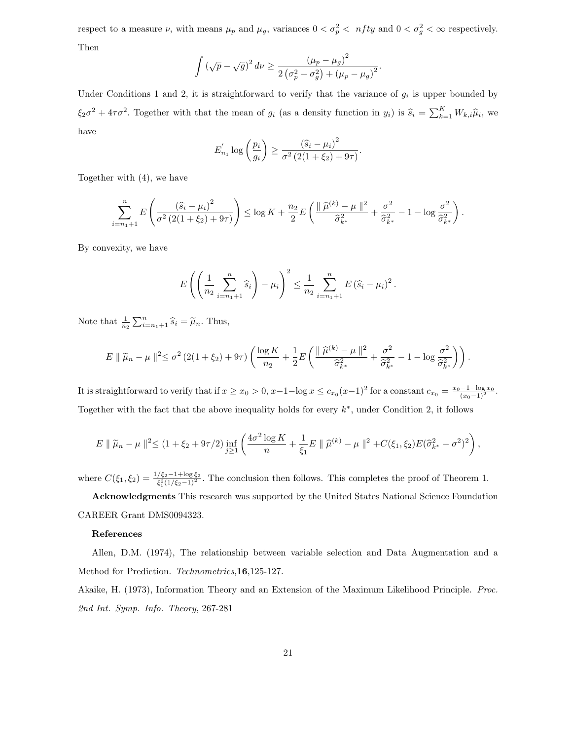respect to a measure  $\nu$ , with means  $\mu_p$  and  $\mu_g$ , variances  $0 < \sigma_p^2 < nfty$  and  $0 < \sigma_g^2 < \infty$  respectively. Then

$$
\int \left(\sqrt{p} - \sqrt{g}\right)^2 d\nu \ge \frac{\left(\mu_p - \mu_g\right)^2}{2\left(\sigma_p^2 + \sigma_g^2\right) + \left(\mu_p - \mu_g\right)^2}.
$$

Under Conditions 1 and 2, it is straightforward to verify that the variance of  $g_i$  is upper bounded by  $\xi_2\sigma^2 + 4\tau\sigma^2$ . Together with that the mean of  $g_i$  (as a density function in  $y_i$ ) is  $\widehat{s}_i = \sum_{k=1}^K W_{k,i}\widehat{\mu}_i$ , we have

$$
E'_{n_1} \log \left(\frac{p_i}{g_i}\right) \ge \frac{(\hat{s}_i - \mu_i)^2}{\sigma^2 (2(1 + \xi_2) + 9\tau)}.
$$

Together with (4), we have

$$
\sum_{i=n_1+1}^{n} E\left(\frac{(\widehat{s}_i - \mu_i)^2}{\sigma^2 \left(2(1+\xi_2) + 9\tau\right)}\right) \le \log K + \frac{n_2}{2} E\left(\frac{\|\widehat{\mu}^{(k)} - \mu\|^2}{\widehat{\sigma}_{k^*}^2} + \frac{\sigma^2}{\widehat{\sigma}_{k^*}^2} - 1 - \log \frac{\sigma^2}{\widehat{\sigma}_{k^*}^2}\right).
$$

By convexity, we have

$$
E\left(\left(\frac{1}{n_2}\sum_{i=n_1+1}^n \widehat{s}_i\right) - \mu_i\right)^2 \leq \frac{1}{n_2}\sum_{i=n_1+1}^n E\left(\widehat{s}_i - \mu_i\right)^2.
$$

Note that  $\frac{1}{n_2} \sum_{i=n_1+1}^{n} \hat{s}_i = \tilde{\mu}_n$ . Thus,

$$
E \|\tilde{\mu}_n - \mu\|^2 \leq \sigma^2 \left(2(1+\xi_2) + 9\tau\right) \left(\frac{\log K}{n_2} + \frac{1}{2}E\left(\frac{\|\hat{\mu}^{(k)} - \mu\|^2}{\hat{\sigma}_{k^*}^2} + \frac{\sigma^2}{\hat{\sigma}_{k^*}^2} - 1 - \log \frac{\sigma^2}{\hat{\sigma}_{k^*}^2}\right)\right).
$$

It is straightforward to verify that if  $x \ge x_0 > 0$ ,  $x-1-\log x \le c_{x_0}(x-1)^2$  for a constant  $c_{x_0} = \frac{x_0-1-\log x_0}{(x_0-1)^2}$ . Together with the fact that the above inequality holds for every  $k^*$ , under Condition 2, it follows

$$
E \parallel \widetilde{\mu}_n - \mu \parallel^2 \le (1 + \xi_2 + 9\tau/2) \inf_{j \ge 1} \left( \frac{4\sigma^2 \log K}{n} + \frac{1}{\xi_1} E \parallel \widehat{\mu}^{(k)} - \mu \parallel^2 + C(\xi_1, \xi_2) E(\widehat{\sigma}_{k^*}^2 - \sigma^2)^2 \right),
$$

where  $C(\xi_1, \xi_2) = \frac{1/\xi_2 - 1 + \log \xi_2}{\xi_1^2 (1/\xi_2 - 1)^2}$ . The conclusion then follows. This completes the proof of Theorem 1.

Acknowledgments This research was supported by the United States National Science Foundation CAREER Grant DMS0094323.

#### References

Allen, D.M. (1974), The relationship between variable selection and Data Augmentation and a Method for Prediction. Technometrics,16,125-127.

Akaike, H. (1973), Information Theory and an Extension of the Maximum Likelihood Principle. Proc. 2nd Int. Symp. Info. Theory, 267-281